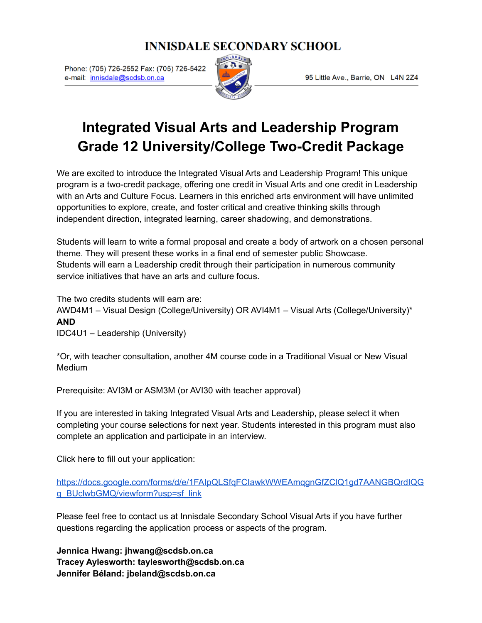### **INNISDALE SECONDARY SCHOOL**

Phone: (705) 726-2552 Fax: (705) 726-5422 e-mail: innisdale@scdsb.on.ca



95 Little Ave., Barrie, ON L4N 2Z4

## **Integrated Visual Arts and Leadership Program Grade 12 University/College Two-Credit Package**

We are excited to introduce the Integrated Visual Arts and Leadership Program! This unique program is a two-credit package, offering one credit in Visual Arts and one credit in Leadership with an Arts and Culture Focus. Learners in this enriched arts environment will have unlimited opportunities to explore, create, and foster critical and creative thinking skills through independent direction, integrated learning, career shadowing, and demonstrations.

Students will learn to write a formal proposal and create a body of artwork on a chosen personal theme. They will present these works in a final end of semester public Showcase. Students will earn a Leadership credit through their participation in numerous community service initiatives that have an arts and culture focus.

The two credits students will earn are:

AWD4M1 – Visual Design (College/University) OR AVI4M1 – Visual Arts (College/University)\* **AND**

IDC4U1 – Leadership (University)

\*Or, with teacher consultation, another 4M course code in a Traditional Visual or New Visual Medium

Prerequisite: AVI3M or ASM3M (or AVI30 with teacher approval)

If you are interested in taking Integrated Visual Arts and Leadership, please select it when completing your course selections for next year. Students interested in this program must also complete an application and participate in an interview.

Click here to fill out your application:

[https://docs.google.com/forms/d/e/1FAIpQLSfqFCIawkWWEAmqgnGfZClQ1gd7AANGBQrdIQG](https://docs.google.com/forms/d/e/1FAIpQLSfqFCIawkWWEAmqgnGfZClQ1gd7AANGBQrdIQGq_BUclwbGMQ/viewform?usp=sf_link) [q\\_BUclwbGMQ/viewform?usp=sf\\_link](https://docs.google.com/forms/d/e/1FAIpQLSfqFCIawkWWEAmqgnGfZClQ1gd7AANGBQrdIQGq_BUclwbGMQ/viewform?usp=sf_link)

Please feel free to contact us at Innisdale Secondary School Visual Arts if you have further questions regarding the application process or aspects of the program.

**Jennica Hwang: jhwang@scdsb.on.ca Tracey Aylesworth: taylesworth@scdsb.on.ca Jennifer Béland: jbeland@scdsb.on.ca**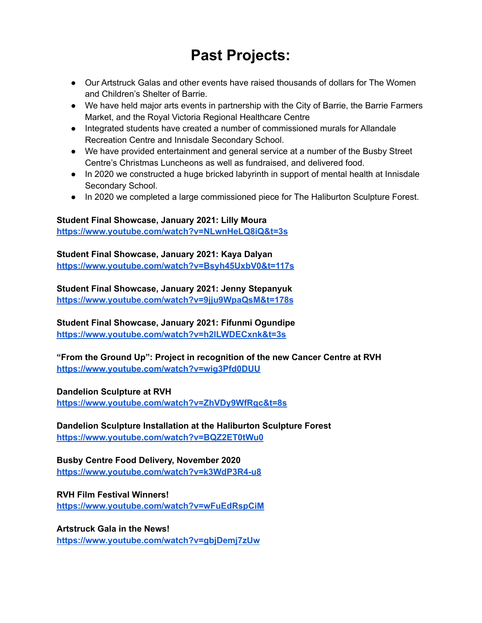# **Past Projects:**

- Our Artstruck Galas and other events have raised thousands of dollars for The Women and Children's Shelter of Barrie.
- We have held major arts events in partnership with the City of Barrie, the Barrie Farmers Market, and the Royal Victoria Regional Healthcare Centre
- Integrated students have created a number of commissioned murals for Allandale Recreation Centre and Innisdale Secondary School.
- We have provided entertainment and general service at a number of the Busby Street Centre's Christmas Luncheons as well as fundraised, and delivered food.
- In 2020 we constructed a huge bricked labyrinth in support of mental health at Innisdale Secondary School.
- In 2020 we completed a large commissioned piece for The Haliburton Sculpture Forest.

#### **Student Final Showcase, January 2021: Lilly Moura**

**<https://www.youtube.com/watch?v=NLwnHeLQ8iQ&t=3s>**

#### **Student Final Showcase, January 2021: Kaya Dalyan**

**<https://www.youtube.com/watch?v=Bsyh45UxbV0&t=117s>**

#### **Student Final Showcase, January 2021: Jenny Stepanyuk <https://www.youtube.com/watch?v=9jju9WpaQsM&t=178s>**

**Student Final Showcase, January 2021: Fifunmi Ogundipe <https://www.youtube.com/watch?v=h2lLWDECxnk&t=3s>**

**"From the Ground Up": Project in recognition of the new Cancer Centre at RVH <https://www.youtube.com/watch?v=wig3Pfd0DUU>**

#### **Dandelion Sculpture at RVH**

**<https://www.youtube.com/watch?v=ZhVDy9WfRgc&t=8s>**

**Dandelion Sculpture Installation at the Haliburton Sculpture Forest <https://www.youtube.com/watch?v=BQZ2ET0tWu0>**

**Busby Centre Food Delivery, November 2020 <https://www.youtube.com/watch?v=k3WdP3R4-u8>**

#### **RVH Film Festival Winners!**

**<https://www.youtube.com/watch?v=wFuEdRspCiM>**

**Artstruck Gala in the News! <https://www.youtube.com/watch?v=gbjDemj7zUw>**